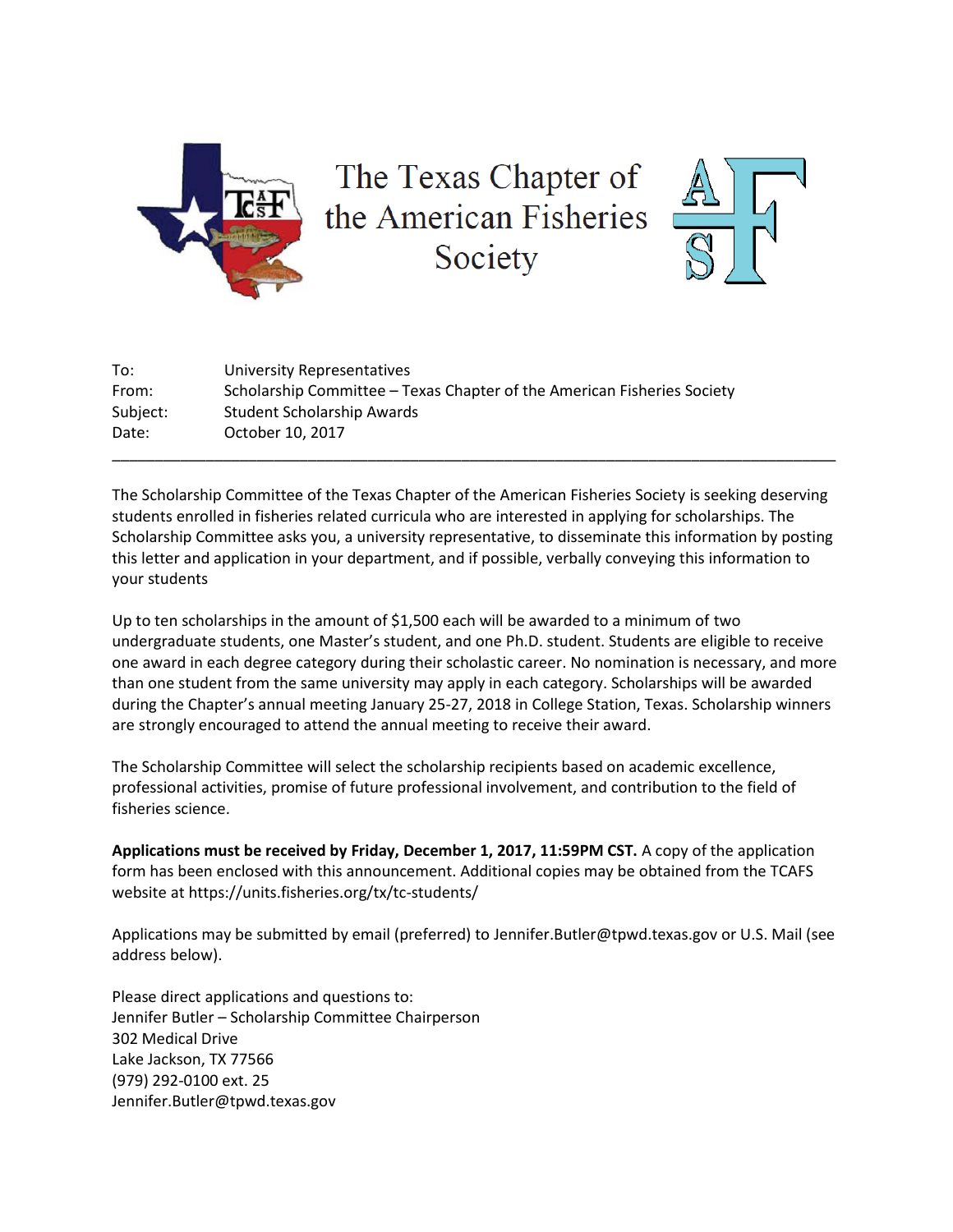

The Texas Chapter of the American Fisheries Society



| To:      | University Representatives                                              |
|----------|-------------------------------------------------------------------------|
| From:    | Scholarship Committee – Texas Chapter of the American Fisheries Society |
| Subject: | <b>Student Scholarship Awards</b>                                       |
| Date:    | October 10, 2017                                                        |
|          |                                                                         |

The Scholarship Committee of the Texas Chapter of the American Fisheries Society is seeking deserving students enrolled in fisheries related curricula who are interested in applying for scholarships. The Scholarship Committee asks you, a university representative, to disseminate this information by posting this letter and application in your department, and if possible, verbally conveying this information to your students

Up to ten scholarships in the amount of \$1,500 each will be awarded to a minimum of two undergraduate students, one Master's student, and one Ph.D. student. Students are eligible to receive one award in each degree category during their scholastic career. No nomination is necessary, and more than one student from the same university may apply in each category. Scholarships will be awarded during the Chapter's annual meeting January 25-27, 2018 in College Station, Texas. Scholarship winners are strongly encouraged to attend the annual meeting to receive their award.

The Scholarship Committee will select the scholarship recipients based on academic excellence, professional activities, promise of future professional involvement, and contribution to the field of fisheries science.

**Applications must be received by Friday, December 1, 2017, 11:59PM CST.** A copy of the application form has been enclosed with this announcement. Additional copies may be obtained from the TCAFS website at https://units.fisheries.org/tx/tc-students/

Applications may be submitted by email (preferred) to Jennifer.Butler@tpwd.texas.gov or U.S. Mail (see address below).

Please direct applications and questions to: Jennifer Butler – Scholarship Committee Chairperson 302 Medical Drive Lake Jackson, TX 77566 (979) 292-0100 ext. 25 Jennifer.Butler@tpwd.texas.gov